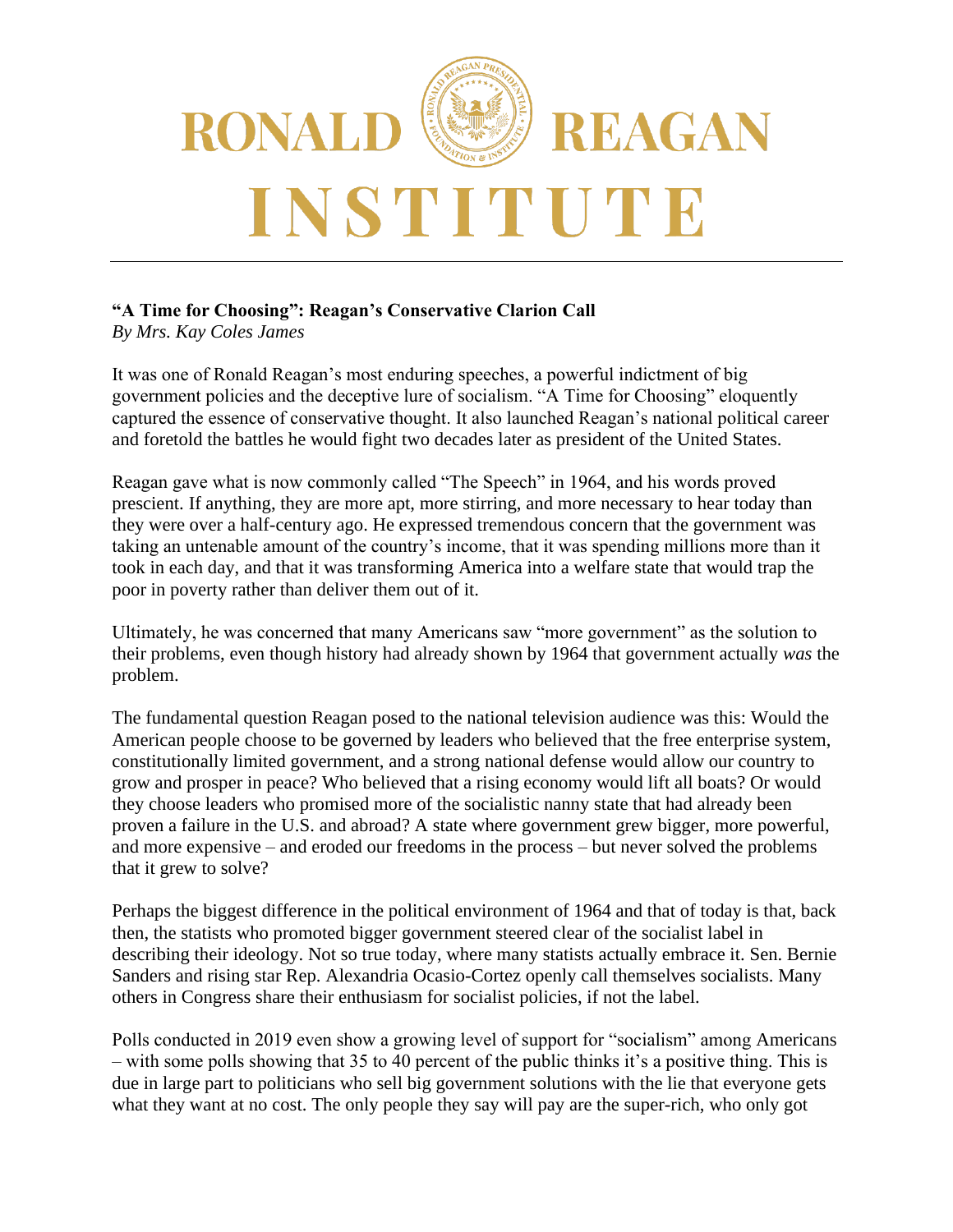

## **"A Time for Choosing": Reagan's Conservative Clarion Call**

*By Mrs. Kay Coles James*

It was one of Ronald Reagan's most enduring speeches, a powerful indictment of big government policies and the deceptive lure of socialism. "A Time for Choosing" eloquently captured the essence of conservative thought. It also launched Reagan's national political career and foretold the battles he would fight two decades later as president of the United States.

Reagan gave what is now commonly called "The Speech" in 1964, and his words proved prescient. If anything, they are more apt, more stirring, and more necessary to hear today than they were over a half-century ago. He expressed tremendous concern that the government was taking an untenable amount of the country's income, that it was spending millions more than it took in each day, and that it was transforming America into a welfare state that would trap the poor in poverty rather than deliver them out of it.

Ultimately, he was concerned that many Americans saw "more government" as the solution to their problems, even though history had already shown by 1964 that government actually *was* the problem.

The fundamental question Reagan posed to the national television audience was this: Would the American people choose to be governed by leaders who believed that the free enterprise system, constitutionally limited government, and a strong national defense would allow our country to grow and prosper in peace? Who believed that a rising economy would lift all boats? Or would they choose leaders who promised more of the socialistic nanny state that had already been proven a failure in the U.S. and abroad? A state where government grew bigger, more powerful, and more expensive – and eroded our freedoms in the process – but never solved the problems that it grew to solve?

Perhaps the biggest difference in the political environment of 1964 and that of today is that, back then, the statists who promoted bigger government steered clear of the socialist label in describing their ideology. Not so true today, where many statists actually embrace it. Sen. Bernie Sanders and rising star Rep. Alexandria Ocasio-Cortez openly call themselves socialists. Many others in Congress share their enthusiasm for socialist policies, if not the label.

Polls conducted in 2019 even show a growing level of support for "socialism" among Americans – with some polls showing that 35 to 40 percent of the public thinks it's a positive thing. This is due in large part to politicians who sell big government solutions with the lie that everyone gets what they want at no cost. The only people they say will pay are the super-rich, who only got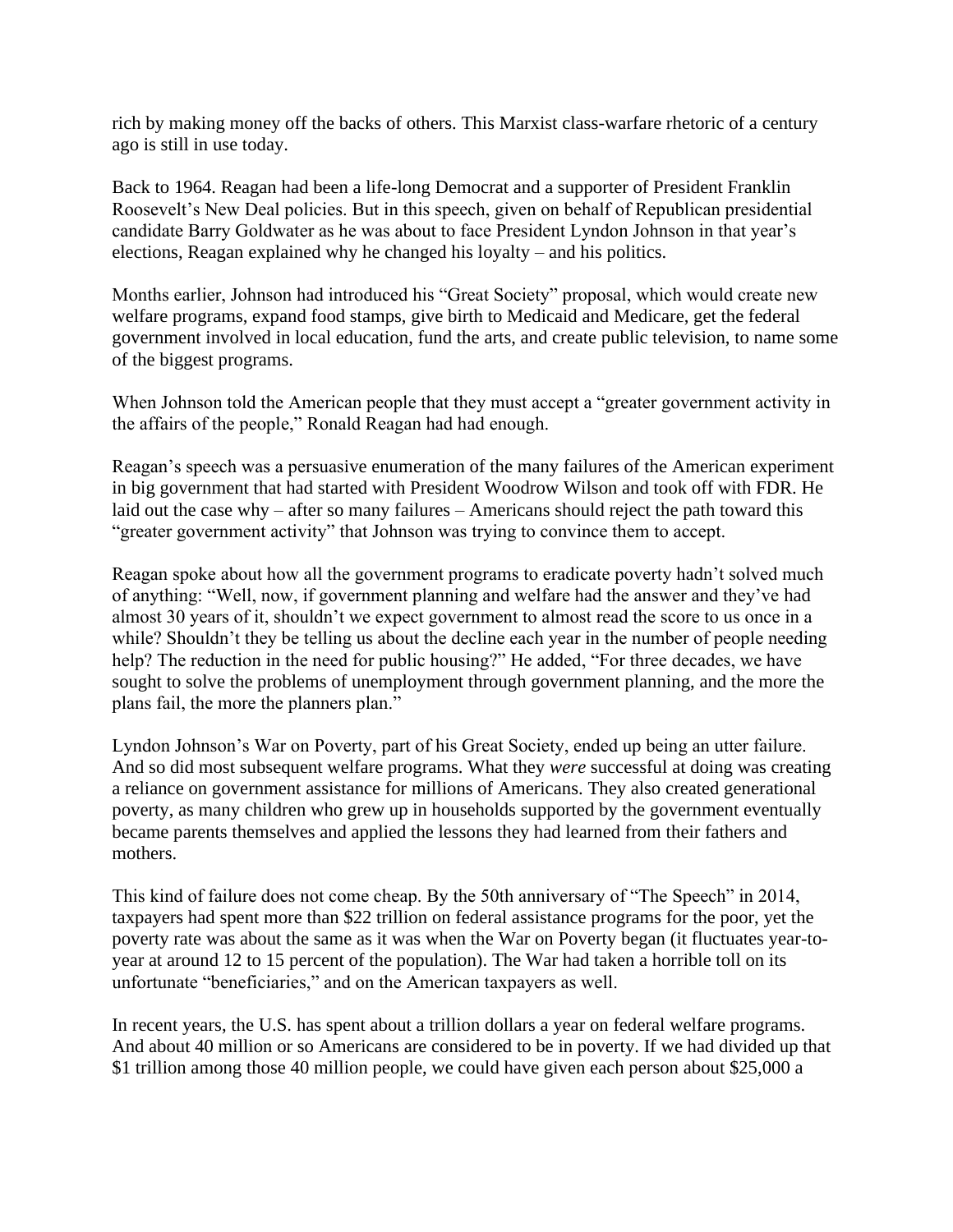rich by making money off the backs of others. This Marxist class-warfare rhetoric of a century ago is still in use today.

Back to 1964. Reagan had been a life-long Democrat and a supporter of President Franklin Roosevelt's New Deal policies. But in this speech, given on behalf of Republican presidential candidate Barry Goldwater as he was about to face President Lyndon Johnson in that year's elections, Reagan explained why he changed his loyalty – and his politics.

Months earlier, Johnson had introduced his "Great Society" proposal, which would create new welfare programs, expand food stamps, give birth to Medicaid and Medicare, get the federal government involved in local education, fund the arts, and create public television, to name some of the biggest programs.

When Johnson told the American people that they must accept a "greater government activity in the affairs of the people," Ronald Reagan had had enough.

Reagan's speech was a persuasive enumeration of the many failures of the American experiment in big government that had started with President Woodrow Wilson and took off with FDR. He laid out the case why – after so many failures – Americans should reject the path toward this "greater government activity" that Johnson was trying to convince them to accept.

Reagan spoke about how all the government programs to eradicate poverty hadn't solved much of anything: "Well, now, if government planning and welfare had the answer and they've had almost 30 years of it, shouldn't we expect government to almost read the score to us once in a while? Shouldn't they be telling us about the decline each year in the number of people needing help? The reduction in the need for public housing?" He added, "For three decades, we have sought to solve the problems of unemployment through government planning, and the more the plans fail, the more the planners plan."

Lyndon Johnson's War on Poverty, part of his Great Society, ended up being an utter failure. And so did most subsequent welfare programs. What they *were* successful at doing was creating a reliance on government assistance for millions of Americans. They also created generational poverty, as many children who grew up in households supported by the government eventually became parents themselves and applied the lessons they had learned from their fathers and mothers.

This kind of failure does not come cheap. By the 50th anniversary of "The Speech" in 2014, taxpayers had spent more than \$22 trillion on federal assistance programs for the poor, yet the poverty rate was about the same as it was when the War on Poverty began (it fluctuates year-toyear at around 12 to 15 percent of the population). The War had taken a horrible toll on its unfortunate "beneficiaries," and on the American taxpayers as well.

In recent years, the U.S. has spent about a trillion dollars a year on federal welfare programs. And about 40 million or so Americans are considered to be in poverty. If we had divided up that \$1 trillion among those 40 million people, we could have given each person about \$25,000 a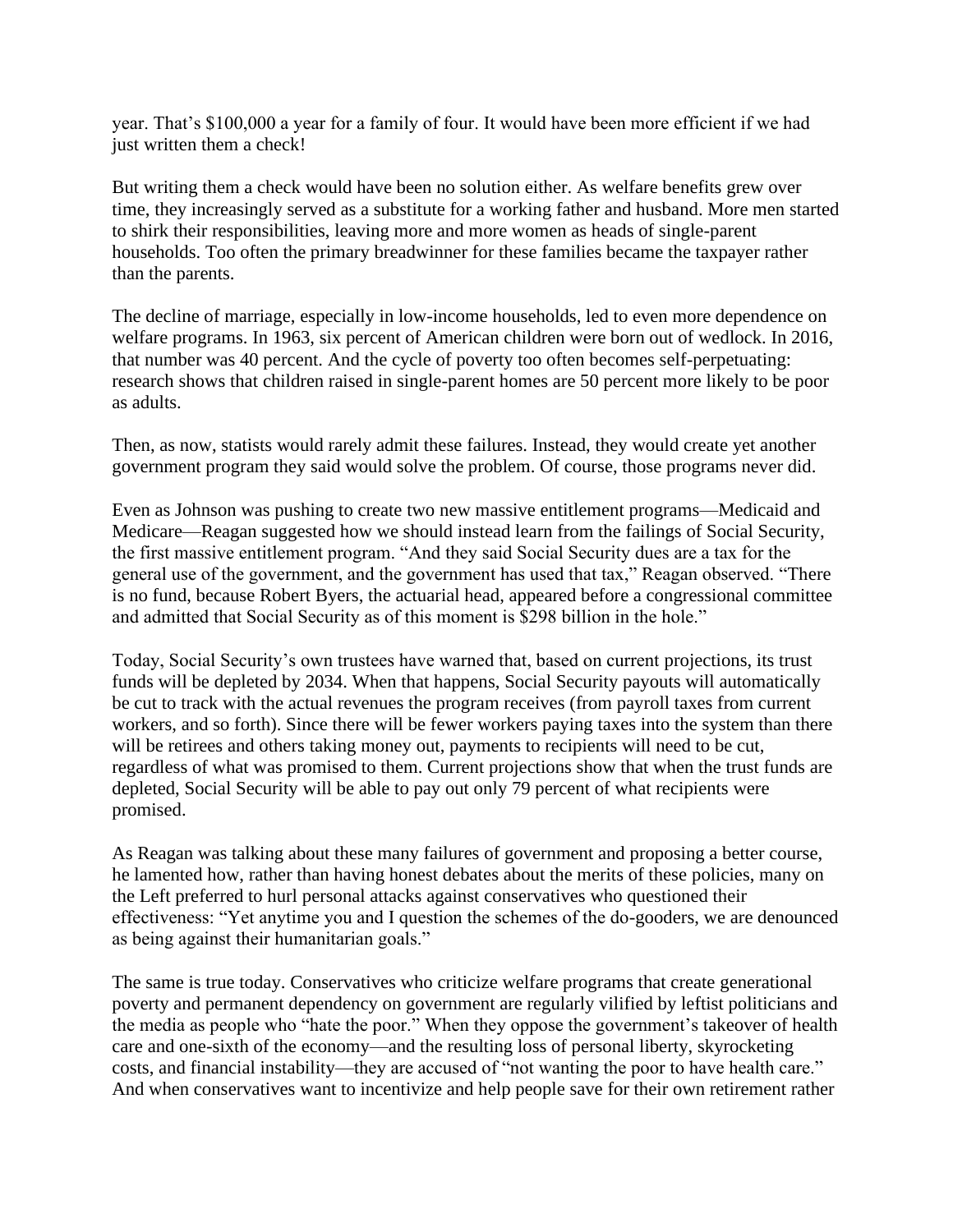year. That's \$100,000 a year for a family of four. It would have been more efficient if we had just written them a check!

But writing them a check would have been no solution either. As welfare benefits grew over time, they increasingly served as a substitute for a working father and husband. More men started to shirk their responsibilities, leaving more and more women as heads of single-parent households. Too often the primary breadwinner for these families became the taxpayer rather than the parents.

The decline of marriage, especially in low-income households, led to even more dependence on welfare programs. In 1963, six percent of American children were born out of wedlock. In 2016, that number was 40 percent. And the cycle of poverty too often becomes self-perpetuating: research shows that children raised in single-parent homes are 50 percent more likely to be poor as adults.

Then, as now, statists would rarely admit these failures. Instead, they would create yet another government program they said would solve the problem. Of course, those programs never did.

Even as Johnson was pushing to create two new massive entitlement programs—Medicaid and Medicare—Reagan suggested how we should instead learn from the failings of Social Security, the first massive entitlement program. "And they said Social Security dues are a tax for the general use of the government, and the government has used that tax," Reagan observed. "There is no fund, because Robert Byers, the actuarial head, appeared before a congressional committee and admitted that Social Security as of this moment is \$298 billion in the hole."

Today, Social Security's own trustees have warned that, based on current projections, its trust funds will be depleted by 2034. When that happens, Social Security payouts will automatically be cut to track with the actual revenues the program receives (from payroll taxes from current workers, and so forth). Since there will be fewer workers paying taxes into the system than there will be retirees and others taking money out, payments to recipients will need to be cut, regardless of what was promised to them. Current projections show that when the trust funds are depleted, Social Security will be able to pay out only 79 percent of what recipients were promised.

As Reagan was talking about these many failures of government and proposing a better course, he lamented how, rather than having honest debates about the merits of these policies, many on the Left preferred to hurl personal attacks against conservatives who questioned their effectiveness: "Yet anytime you and I question the schemes of the do-gooders, we are denounced as being against their humanitarian goals."

The same is true today. Conservatives who criticize welfare programs that create generational poverty and permanent dependency on government are regularly vilified by leftist politicians and the media as people who "hate the poor." When they oppose the government's takeover of health care and one-sixth of the economy—and the resulting loss of personal liberty, skyrocketing costs, and financial instability—they are accused of "not wanting the poor to have health care." And when conservatives want to incentivize and help people save for their own retirement rather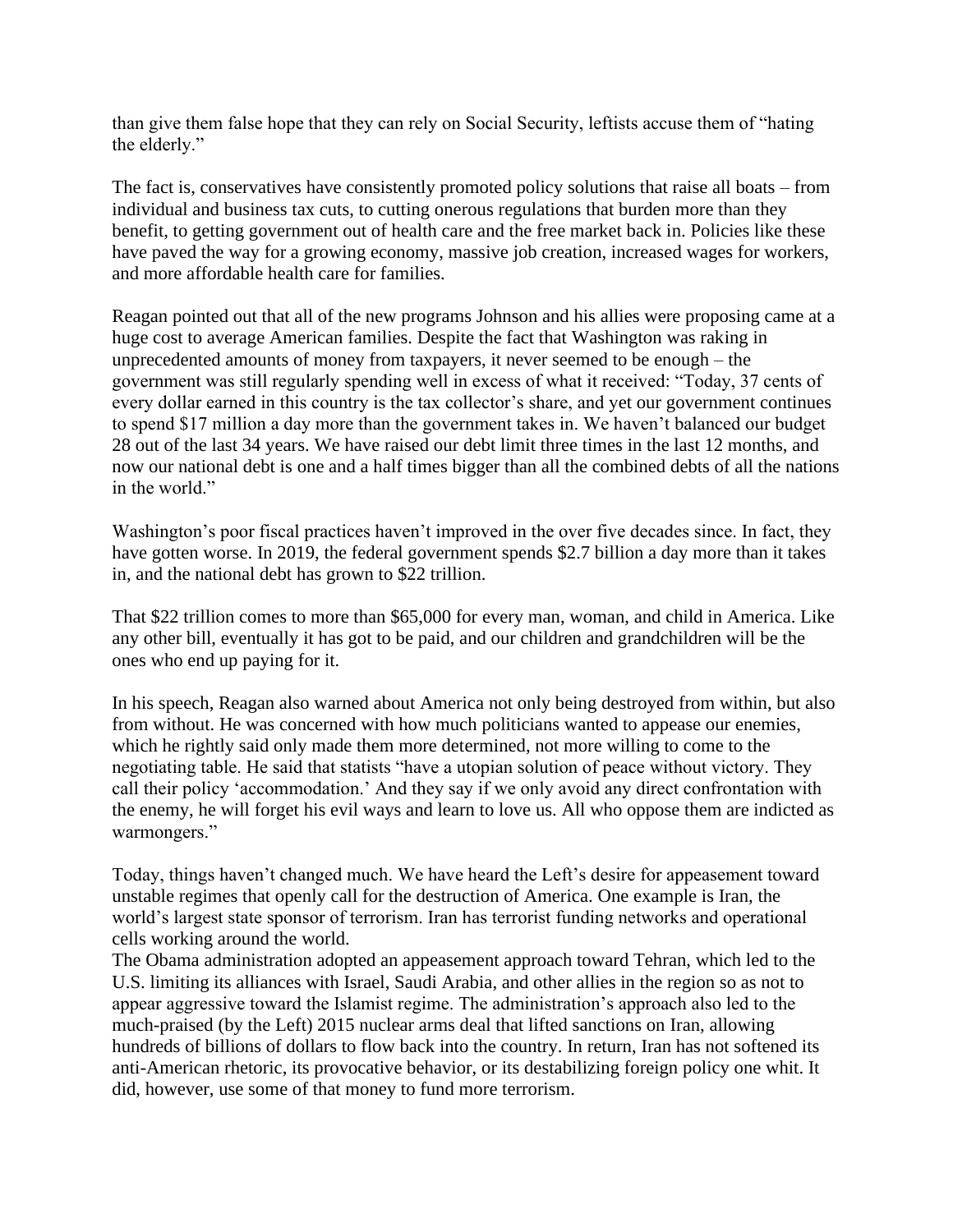than give them false hope that they can rely on Social Security, leftists accuse them of "hating the elderly."

The fact is, conservatives have consistently promoted policy solutions that raise all boats – from individual and business tax cuts, to cutting onerous regulations that burden more than they benefit, to getting government out of health care and the free market back in. Policies like these have paved the way for a growing economy, massive job creation, increased wages for workers, and more affordable health care for families.

Reagan pointed out that all of the new programs Johnson and his allies were proposing came at a huge cost to average American families. Despite the fact that Washington was raking in unprecedented amounts of money from taxpayers, it never seemed to be enough – the government was still regularly spending well in excess of what it received: "Today, 37 cents of every dollar earned in this country is the tax collector's share, and yet our government continues to spend \$17 million a day more than the government takes in. We haven't balanced our budget 28 out of the last 34 years. We have raised our debt limit three times in the last 12 months, and now our national debt is one and a half times bigger than all the combined debts of all the nations in the world."

Washington's poor fiscal practices haven't improved in the over five decades since. In fact, they have gotten worse. In 2019, the federal government spends \$2.7 billion a day more than it takes in, and the national debt has grown to \$22 trillion.

That \$22 trillion comes to more than \$65,000 for every man, woman, and child in America. Like any other bill, eventually it has got to be paid, and our children and grandchildren will be the ones who end up paying for it.

In his speech, Reagan also warned about America not only being destroyed from within, but also from without. He was concerned with how much politicians wanted to appease our enemies, which he rightly said only made them more determined, not more willing to come to the negotiating table. He said that statists "have a utopian solution of peace without victory. They call their policy 'accommodation.' And they say if we only avoid any direct confrontation with the enemy, he will forget his evil ways and learn to love us. All who oppose them are indicted as warmongers."

Today, things haven't changed much. We have heard the Left's desire for appeasement toward unstable regimes that openly call for the destruction of America. One example is Iran, the world's largest state sponsor of terrorism. Iran has terrorist funding networks and operational cells working around the world.

The Obama administration adopted an appeasement approach toward Tehran, which led to the U.S. limiting its alliances with Israel, Saudi Arabia, and other allies in the region so as not to appear aggressive toward the Islamist regime. The administration's approach also led to the much-praised (by the Left) 2015 nuclear arms deal that lifted sanctions on Iran, allowing hundreds of billions of dollars to flow back into the country. In return, Iran has not softened its anti-American rhetoric, its provocative behavior, or its destabilizing foreign policy one whit. It did, however, use some of that money to fund more terrorism.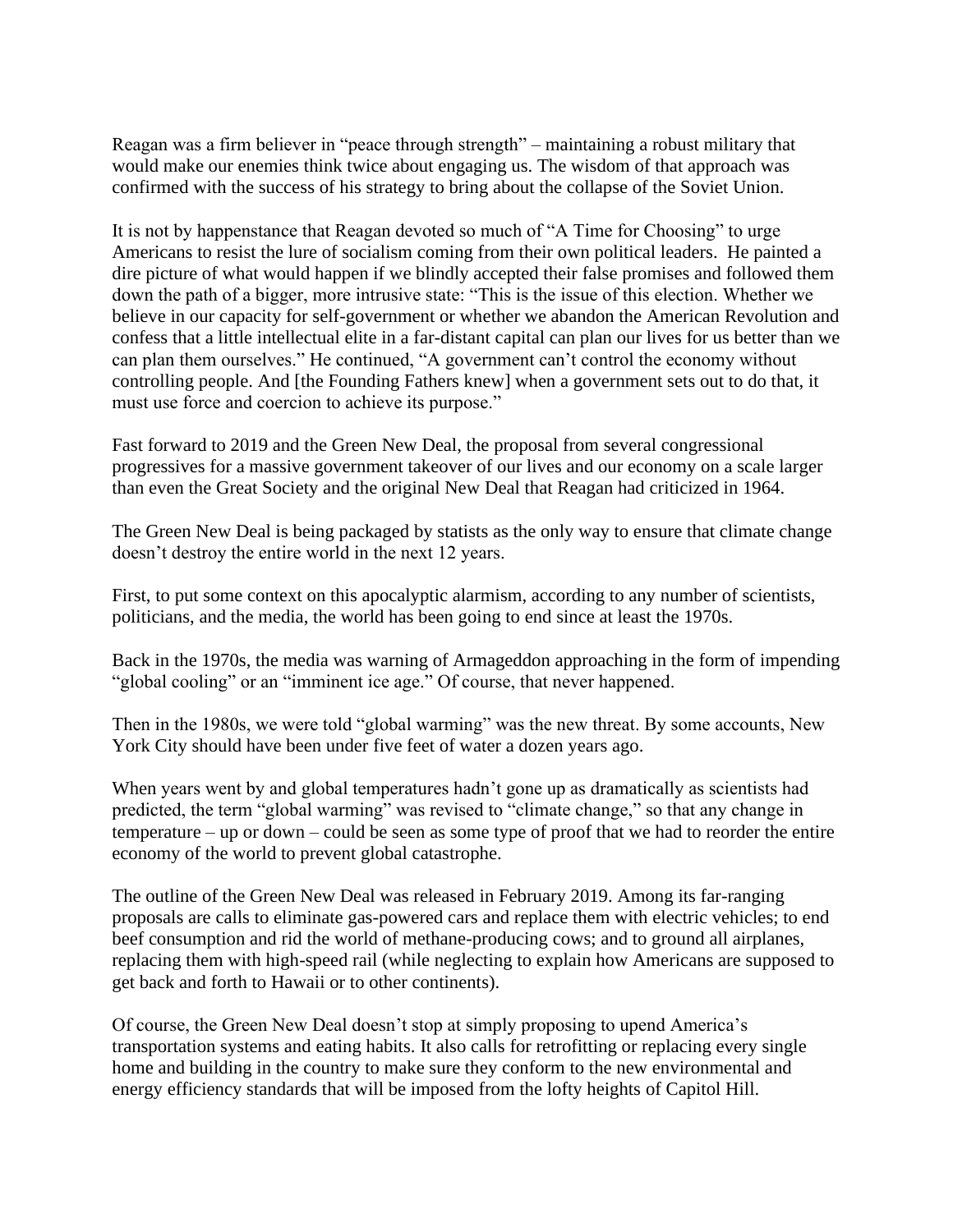Reagan was a firm believer in "peace through strength" – maintaining a robust military that would make our enemies think twice about engaging us. The wisdom of that approach was confirmed with the success of his strategy to bring about the collapse of the Soviet Union.

It is not by happenstance that Reagan devoted so much of "A Time for Choosing" to urge Americans to resist the lure of socialism coming from their own political leaders. He painted a dire picture of what would happen if we blindly accepted their false promises and followed them down the path of a bigger, more intrusive state: "This is the issue of this election. Whether we believe in our capacity for self-government or whether we abandon the American Revolution and confess that a little intellectual elite in a far-distant capital can plan our lives for us better than we can plan them ourselves." He continued, "A government can't control the economy without controlling people. And [the Founding Fathers knew] when a government sets out to do that, it must use force and coercion to achieve its purpose."

Fast forward to 2019 and the Green New Deal, the proposal from several congressional progressives for a massive government takeover of our lives and our economy on a scale larger than even the Great Society and the original New Deal that Reagan had criticized in 1964.

The Green New Deal is being packaged by statists as the only way to ensure that climate change doesn't destroy the entire world in the next 12 years.

First, to put some context on this apocalyptic alarmism, according to any number of scientists, politicians, and the media, the world has been going to end since at least the 1970s.

Back in the 1970s, the media was warning of Armageddon approaching in the form of impending "global cooling" or an "imminent ice age." Of course, that never happened.

Then in the 1980s, we were told "global warming" was the new threat. By some accounts, New York City should have been under five feet of water a dozen years ago.

When years went by and global temperatures hadn't gone up as dramatically as scientists had predicted, the term "global warming" was revised to "climate change," so that any change in temperature – up or down – could be seen as some type of proof that we had to reorder the entire economy of the world to prevent global catastrophe.

The outline of the Green New Deal was released in February 2019. Among its far-ranging proposals are calls to eliminate gas-powered cars and replace them with electric vehicles; to end beef consumption and rid the world of methane-producing cows; and to ground all airplanes, replacing them with high-speed rail (while neglecting to explain how Americans are supposed to get back and forth to Hawaii or to other continents).

Of course, the Green New Deal doesn't stop at simply proposing to upend America's transportation systems and eating habits. It also calls for retrofitting or replacing every single home and building in the country to make sure they conform to the new environmental and energy efficiency standards that will be imposed from the lofty heights of Capitol Hill.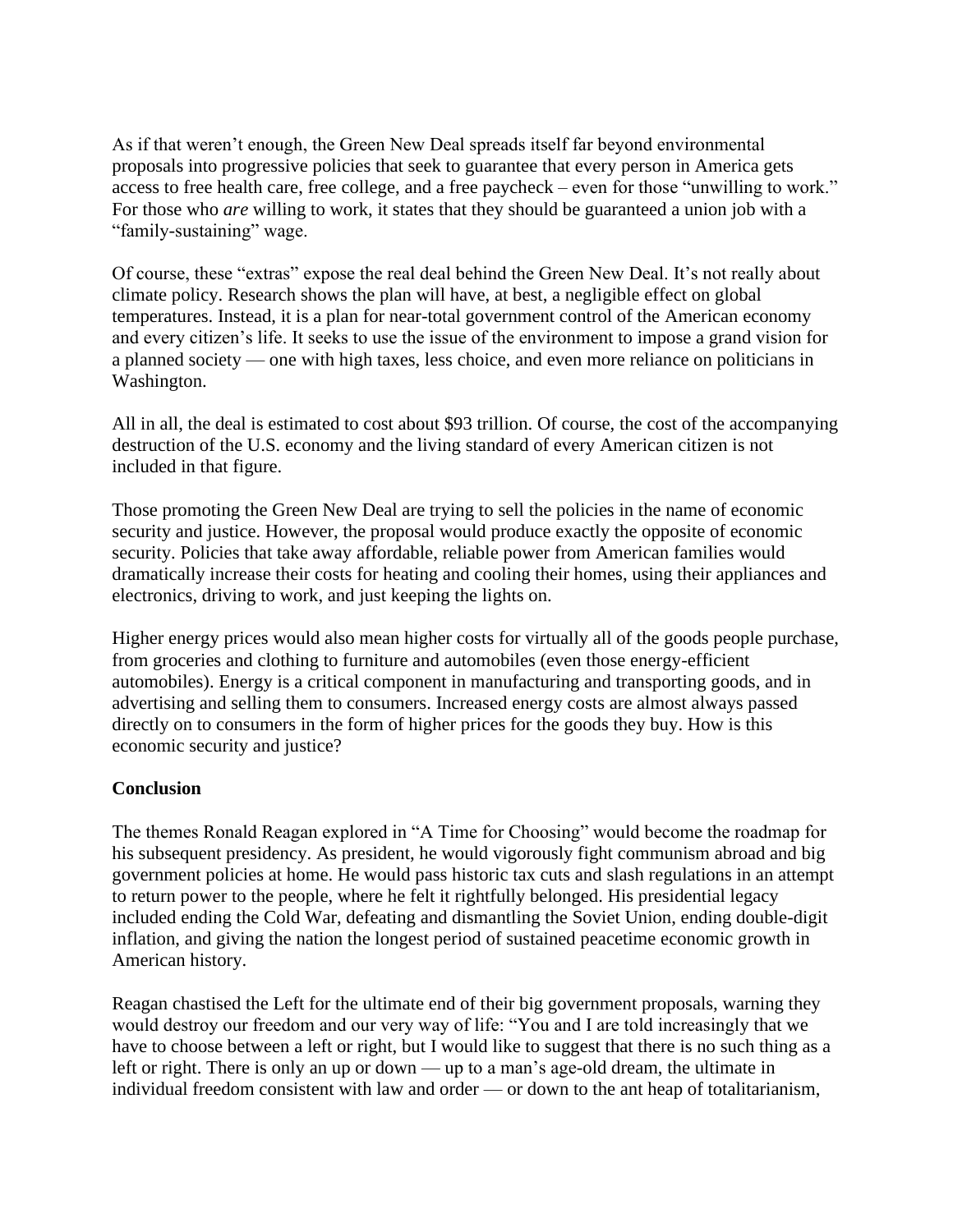As if that weren't enough, the Green New Deal spreads itself far beyond environmental proposals into progressive policies that seek to guarantee that every person in America gets access to free health care, free college, and a free paycheck – even for those "unwilling to work." For those who *are* willing to work, it states that they should be guaranteed a union job with a "family-sustaining" wage.

Of course, these "extras" expose the real deal behind the Green New Deal. It's not really about climate policy. Research shows the plan will have, at best, a negligible effect on global temperatures. Instead, it is a plan for near-total government control of the American economy and every citizen's life. It seeks to use the issue of the environment to impose a grand vision for a planned society — one with high taxes, less choice, and even more reliance on politicians in Washington.

All in all, the deal is estimated to cost about \$93 trillion. Of course, the cost of the accompanying destruction of the U.S. economy and the living standard of every American citizen is not included in that figure.

Those promoting the Green New Deal are trying to sell the policies in the name of economic security and justice. However, the proposal would produce exactly the opposite of economic security. Policies that take away affordable, reliable power from American families would dramatically increase their costs for heating and cooling their homes, using their appliances and electronics, driving to work, and just keeping the lights on.

Higher energy prices would also mean higher costs for virtually all of the goods people purchase, from groceries and clothing to furniture and automobiles (even those energy-efficient automobiles). Energy is a critical component in manufacturing and transporting goods, and in advertising and selling them to consumers. Increased energy costs are almost always passed directly on to consumers in the form of higher prices for the goods they buy. How is this economic security and justice?

## **Conclusion**

The themes Ronald Reagan explored in "A Time for Choosing" would become the roadmap for his subsequent presidency. As president, he would vigorously fight communism abroad and big government policies at home. He would pass historic tax cuts and slash regulations in an attempt to return power to the people, where he felt it rightfully belonged. His presidential legacy included ending the Cold War, defeating and dismantling the Soviet Union, ending double-digit inflation, and giving the nation the longest period of sustained peacetime economic growth in American history.

Reagan chastised the Left for the ultimate end of their big government proposals, warning they would destroy our freedom and our very way of life: "You and I are told increasingly that we have to choose between a left or right, but I would like to suggest that there is no such thing as a left or right. There is only an up or down — up to a man's age-old dream, the ultimate in individual freedom consistent with law and order — or down to the ant heap of totalitarianism,